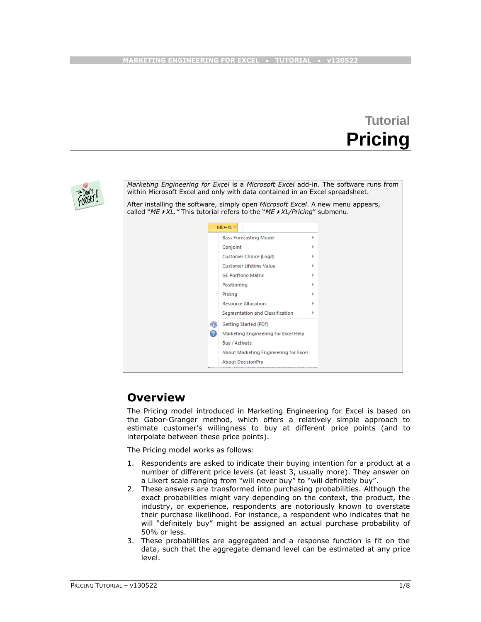# **Tutorial Pricing**



*Marketing Engineering for Excel* is a *Microsoft Excel* add-in. The software runs from within Microsoft Excel and only with data contained in an Excel spreadsheet.

After installing the software, simply open *Microsoft Excel*. A new menu appears, called "*MEXL."* This tutorial refers to the "*MEXL/Pricing*" submenu.

| <b>Bass Forecasting Model</b><br>ь<br>Conjoint<br>Customer Choice (Logit)<br><b>Customer Lifetime Value</b><br><b>GE Portfolio Matrix</b><br>Positioning<br>Pricing<br><b>Resource Allocation</b><br>Segmentation and Classification<br>ь<br>≤ອ<br>Getting Started (PDF)<br>2<br>Marketing Engineering for Excel Help<br>Buy / Activate<br>About Marketing Engineering for Excel | ME⊨XL *                  |  |
|----------------------------------------------------------------------------------------------------------------------------------------------------------------------------------------------------------------------------------------------------------------------------------------------------------------------------------------------------------------------------------|--------------------------|--|
|                                                                                                                                                                                                                                                                                                                                                                                  |                          |  |
|                                                                                                                                                                                                                                                                                                                                                                                  |                          |  |
|                                                                                                                                                                                                                                                                                                                                                                                  |                          |  |
|                                                                                                                                                                                                                                                                                                                                                                                  |                          |  |
|                                                                                                                                                                                                                                                                                                                                                                                  |                          |  |
|                                                                                                                                                                                                                                                                                                                                                                                  |                          |  |
|                                                                                                                                                                                                                                                                                                                                                                                  |                          |  |
|                                                                                                                                                                                                                                                                                                                                                                                  |                          |  |
|                                                                                                                                                                                                                                                                                                                                                                                  |                          |  |
|                                                                                                                                                                                                                                                                                                                                                                                  |                          |  |
|                                                                                                                                                                                                                                                                                                                                                                                  |                          |  |
|                                                                                                                                                                                                                                                                                                                                                                                  |                          |  |
|                                                                                                                                                                                                                                                                                                                                                                                  |                          |  |
|                                                                                                                                                                                                                                                                                                                                                                                  | <b>About DecisionPro</b> |  |

### **Overview**

The Pricing model introduced in Marketing Engineering for Excel is based on the Gabor-Granger method, which offers a relatively simple approach to estimate customer's willingness to buy at different price points (and to interpolate between these price points).

The Pricing model works as follows:

- 1. Respondents are asked to indicate their buying intention for a product at a number of different price levels (at least 3, usually more). They answer on a Likert scale ranging from "will never buy" to "will definitely buy".
- 2. These answers are transformed into purchasing probabilities. Although the exact probabilities might vary depending on the context, the product, the industry, or experience, respondents are notoriously known to overstate their purchase likelihood. For instance, a respondent who indicates that he will "definitely buy" might be assigned an actual purchase probability of 50% or less.
- 3. These probabilities are aggregated and a response function is fit on the data, such that the aggregate demand level can be estimated at any price level.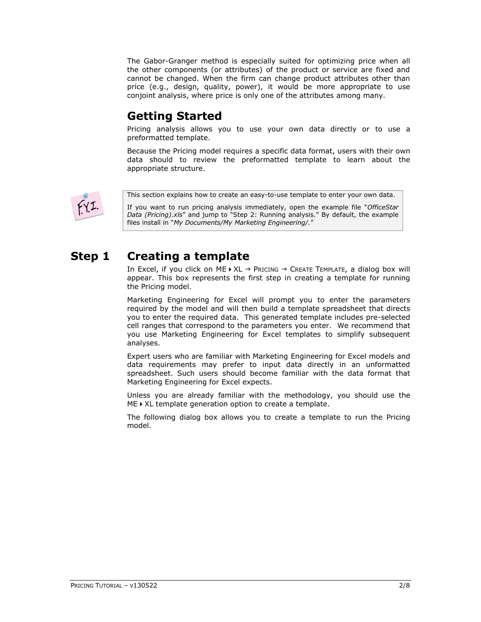The Gabor-Granger method is especially suited for optimizing price when all the other components (or attributes) of the product or service are fixed and cannot be changed. When the firm can change product attributes other than price (e.g., design, quality, power), it would be more appropriate to use conjoint analysis, where price is only one of the attributes among many.

# **Getting Started**

Pricing analysis allows you to use your own data directly or to use a preformatted template.

Because the Pricing model requires a specific data format, users with their own data should to review the preformatted template to learn about the appropriate structure.



This section explains how to create an easy-to-use template to enter your own data.

If you want to run pricing analysis immediately, open the example file "*OfficeStar Data (Pricing).xls*" and jump to "Step 2: Running analysis." By default, the example files install in "*My Documents/My Marketing Engineering/.*"

# **Step 1 Creating a template**

In Excel, if you click on ME  $\triangleright$  XL  $\rightarrow$  Pricing  $\rightarrow$  Create Template, a dialog box will appear. This box represents the first step in creating a template for running the Pricing model.

Marketing Engineering for Excel will prompt you to enter the parameters required by the model and will then build a template spreadsheet that directs you to enter the required data. This generated template includes pre-selected cell ranges that correspond to the parameters you enter. We recommend that you use Marketing Engineering for Excel templates to simplify subsequent analyses.

Expert users who are familiar with Marketing Engineering for Excel models and data requirements may prefer to input data directly in an unformatted spreadsheet. Such users should become familiar with the data format that Marketing Engineering for Excel expects.

Unless you are already familiar with the methodology, you should use the  $ME \triangleright XL$  template generation option to create a template.

The following dialog box allows you to create a template to run the Pricing model.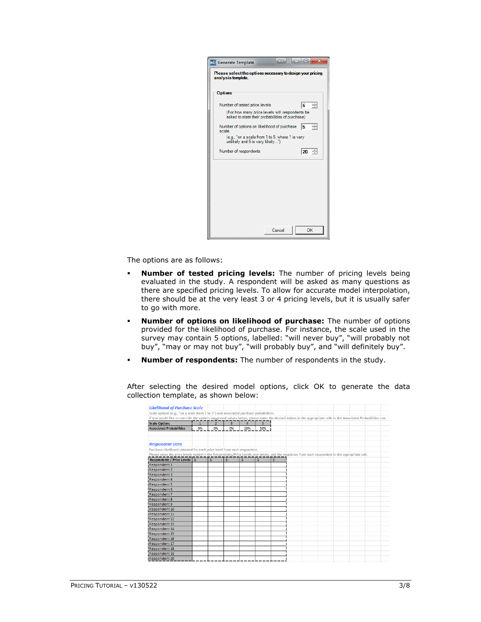| <b>ME</b> Generate Template                                                                       | $\mathbf x$<br>ole |
|---------------------------------------------------------------------------------------------------|--------------------|
| Please select the options necessary to design your pricing<br>analysis template.                  |                    |
| <b>Options</b>                                                                                    |                    |
| Number of tested price levels                                                                     | $6 \div$           |
| (For how many price levels will respondents be<br>asked to state their probabilities of purchase) |                    |
| Number of options on likelihood of purchase<br>scale                                              | ÷<br>15            |
| (e.g., "on a scale from 1 to 5, where 1 is very<br>unlikely and 5 is very likely")                |                    |
| Number of respondents                                                                             | $20 \div$          |
|                                                                                                   |                    |
|                                                                                                   |                    |
|                                                                                                   |                    |
|                                                                                                   |                    |
|                                                                                                   |                    |
|                                                                                                   |                    |
| Cancel                                                                                            | OK                 |

The options are as follows:

- **Number of tested pricing levels:** The number of pricing levels being evaluated in the study. A respondent will be asked as many questions as there are specified pricing levels. To allow for accurate model interpolation, there should be at the very least 3 or 4 pricing levels, but it is usually safer to go with more.
- **Number of options on likelihood of purchase:** The number of options provided for the likelihood of purchase. For instance, the scale used in the survey may contain 5 options, labelled: "will never buy", "will probably not buy", "may or may not buy", "will probably buy", and "will definitely buy".
- **Number of respondents:** The number of respondents in the study.

After selecting the desired model options, click OK to generate the data collection template, as shown below:

| <b>Likelihood of Purchase Scale</b>                                                                                                                            |       |                |                                                   |            |                |      |  |  |  |  |
|----------------------------------------------------------------------------------------------------------------------------------------------------------------|-------|----------------|---------------------------------------------------|------------|----------------|------|--|--|--|--|
| Scale options (e.g., "on a scale from 1 to 5") and associated purchase probabilities.                                                                          |       |                |                                                   |            |                |      |  |  |  |  |
| If you would like to override the system suggested values below, please enter the desired values in the appropriate cells in the Associated Probabilities row. |       |                |                                                   |            |                |      |  |  |  |  |
| <b>Scale Options</b>                                                                                                                                           | $1 -$ | $\overline{2}$ | $\overline{\phantom{0}}$ $\overline{\phantom{0}}$ | $4-1$      | $\overline{5}$ |      |  |  |  |  |
| <b>Associated Probabilities</b>                                                                                                                                | 0%    | 0%             | 0%                                                | 20%        | 50%            |      |  |  |  |  |
|                                                                                                                                                                |       |                |                                                   |            |                |      |  |  |  |  |
| <b>Respondent Data</b>                                                                                                                                         |       |                |                                                   |            |                |      |  |  |  |  |
| Purchase likelihood obtained for each price level from each respondent.                                                                                        |       |                |                                                   |            |                |      |  |  |  |  |
| Please enter the price levels tested in the Respondents/Price Levels row below, and the responses from each respondent in the appropriate cell.                |       |                |                                                   |            |                |      |  |  |  |  |
| Respondents / Price Levels 5 - 5 - 5                                                                                                                           |       |                |                                                   | $-15 - 15$ |                | ⊡ s⊺ |  |  |  |  |
| Respondent 1                                                                                                                                                   |       |                |                                                   |            |                |      |  |  |  |  |
| <b>Respondent 2</b>                                                                                                                                            |       |                |                                                   |            |                |      |  |  |  |  |
| <b>Respondent 3</b>                                                                                                                                            |       |                |                                                   |            |                |      |  |  |  |  |
| <b>Respondent 4</b>                                                                                                                                            |       |                |                                                   |            |                |      |  |  |  |  |
| Respondent 5                                                                                                                                                   |       |                |                                                   |            |                |      |  |  |  |  |
| <b>Respondent 6</b>                                                                                                                                            |       |                |                                                   |            |                |      |  |  |  |  |
| <b>Respondent 7</b>                                                                                                                                            |       |                |                                                   |            |                |      |  |  |  |  |
| Respondent 8                                                                                                                                                   |       |                |                                                   |            |                |      |  |  |  |  |
| <b>Respondent 9</b>                                                                                                                                            |       |                |                                                   |            |                |      |  |  |  |  |
| <b>Respondent 10</b>                                                                                                                                           |       |                |                                                   |            |                |      |  |  |  |  |
| Respondent 11                                                                                                                                                  |       |                |                                                   |            |                |      |  |  |  |  |
| <b>Respondent 12</b>                                                                                                                                           |       |                |                                                   |            |                |      |  |  |  |  |
| <b>Respondent 13</b>                                                                                                                                           |       |                |                                                   |            |                |      |  |  |  |  |
| Respondent 14                                                                                                                                                  |       |                |                                                   |            |                |      |  |  |  |  |
| Respondent 15                                                                                                                                                  |       |                |                                                   |            |                |      |  |  |  |  |
| <b>Respondent 16</b>                                                                                                                                           |       |                |                                                   |            |                |      |  |  |  |  |
| Respondent 17                                                                                                                                                  |       |                |                                                   |            |                |      |  |  |  |  |
| Respondent 18                                                                                                                                                  |       |                |                                                   |            |                |      |  |  |  |  |
| Respondent 19                                                                                                                                                  |       |                |                                                   |            |                |      |  |  |  |  |
| <b>Respondent 20</b>                                                                                                                                           |       |                |                                                   |            |                |      |  |  |  |  |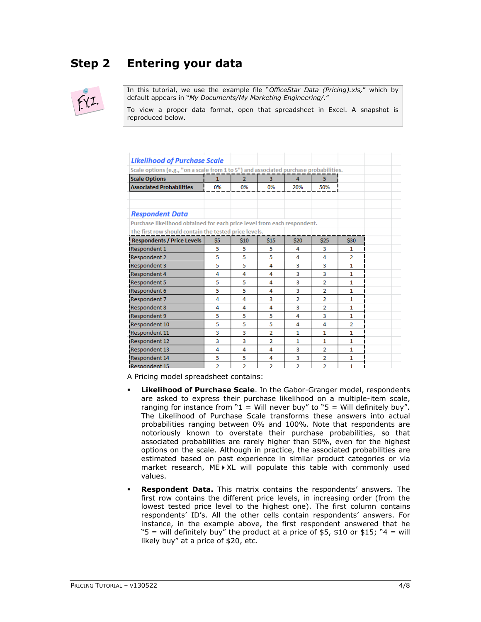# **Step 2 Entering your data**



In this tutorial, we use the example file "*OfficeStar Data (Pricing).xls,*" which by default appears in "*My Documents/My Marketing Engineering/.*"

To view a proper data format, open that spreadsheet in Excel. A snapshot is reproduced below.

| <b>Likelihood of Purchase Scale</b>                                                   |     |                |                |                |                |                |
|---------------------------------------------------------------------------------------|-----|----------------|----------------|----------------|----------------|----------------|
| Scale options (e.g., "on a scale from 1 to 5") and associated purchase probabilities. |     |                |                |                |                |                |
| <b>Scale Options</b>                                                                  | 1   | $\overline{2}$ | 3              | 4              | 5              |                |
| <b>Associated Probabilities</b>                                                       | 0%  | 0%             | 0%             | 20%            | 50%            |                |
| <b>Respondent Data</b>                                                                |     |                |                |                |                |                |
| Purchase likelihood obtained for each price level from each respondent.               |     |                |                |                |                |                |
| The first row should contain the tested price levels.                                 |     |                |                |                |                |                |
| <b>Respondents / Price Levels</b>                                                     | \$5 | \$10           | \$15           | \$20           | \$25           | \$30           |
| Respondent 1                                                                          | 5   | 5              | 5              | 4              | 3              | 1              |
| <b>Respondent 2</b>                                                                   | 5   | 5              | 5              | 4              | 4              | $\overline{a}$ |
| Respondent 3                                                                          | 5   | 5              | 4              | 3              | 3              | $\mathbf{1}$   |
| Respondent 4                                                                          | 4   | 4              | 4              | 3              | 3              | 1              |
| Respondent 5                                                                          | 5   | 5              | 4              | 3              | $\overline{2}$ | 1              |
| Respondent 6                                                                          | 5   | 5              | 4              | 3              | $\overline{2}$ | 1              |
| Respondent 7                                                                          | 4   | 4              | 3              | $\overline{2}$ | $\overline{2}$ | 1.             |
| Respondent 8                                                                          | 4   | 4              | 4              | 3              | 2              | $\mathbf{1}$   |
| <b>Respondent 9</b>                                                                   | 5   | 5              | 5              | 4              | 3              | 1              |
| Respondent 10                                                                         | 5   | 5              | 5              | 4              | 4              | $\overline{2}$ |
| Respondent 11                                                                         | 3   | 3              | $\overline{2}$ | 1              | 1              | 1              |
| Respondent 12                                                                         | 3   | 3              | $\overline{2}$ | $\mathbf{1}$   | $\mathbf{1}$   | $\mathbf{1}$   |
| Respondent 13                                                                         | 4   | 4              | 4              | 3              | $\overline{2}$ | 1              |
| <b>Respondent 14</b>                                                                  | 5   | 5              | 4              | 3              | $\overline{2}$ | 1              |
| <b>IRespondent 15</b>                                                                 | 2   | $\overline{2}$ | <sup>2</sup>   | <sup>2</sup>   | $\overline{2}$ | 1.             |

A Pricing model spreadsheet contains:

- **Likelihood of Purchase Scale**. In the Gabor-Granger model, respondents are asked to express their purchase likelihood on a multiple-item scale, ranging for instance from " $1 =$  Will never buy" to " $5 =$  Will definitely buy". The Likelihood of Purchase Scale transforms these answers into actual probabilities ranging between 0% and 100%. Note that respondents are notoriously known to overstate their purchase probabilities, so that associated probabilities are rarely higher than 50%, even for the highest options on the scale. Although in practice, the associated probabilities are estimated based on past experience in similar product categories or via market research,  $ME \triangleright XL$  will populate this table with commonly used values.
- **Respondent Data.** This matrix contains the respondents' answers. The first row contains the different price levels, in increasing order (from the lowest tested price level to the highest one). The first column contains respondents' ID's. All the other cells contain respondents' answers. For instance, in the example above, the first respondent answered that he " $5$  = will definitely buy" the product at a price of \$5, \$10 or \$15; "4 = will likely buy" at a price of \$20, etc.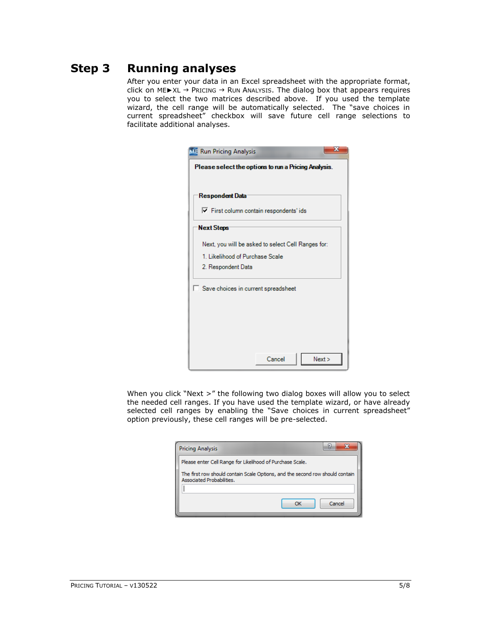# **Step 3 Running analyses**

After you enter your data in an Excel spreadsheet with the appropriate format, click on ME▶XL → PRICING → RUN ANALYSIS. The dialog box that appears requires you to select the two matrices described above. If you used the template wizard, the cell range will be automatically selected. The "save choices in current spreadsheet" checkbox will save future cell range selections to facilitate additional analyses.

| x<br><b>ME Run Pricing Analysis</b>                  |
|------------------------------------------------------|
| Please select the options to run a Pricing Analysis. |
|                                                      |
| Respondent Data                                      |
| Ⅳ First column contain respondents' ids              |
| <b>Next Steps</b>                                    |
| Next, you will be asked to select Cell Ranges for:   |
| 1. Likelihood of Purchase Scale                      |
| 2. Respondent Data                                   |
| Save choices in current spreadsheet                  |
| Cancel<br>Next                                       |

When you click "Next >" the following two dialog boxes will allow you to select the needed cell ranges. If you have used the template wizard, or have already selected cell ranges by enabling the "Save choices in current spreadsheet" option previously, these cell ranges will be pre-selected.

| <b>Pricing Analysis</b>                                                                                    |        |
|------------------------------------------------------------------------------------------------------------|--------|
| Please enter Cell Range for Likelihood of Purchase Scale.                                                  |        |
| The first row should contain Scale Options, and the second row should contain<br>Associated Probabilities. |        |
|                                                                                                            |        |
|                                                                                                            | Cancel |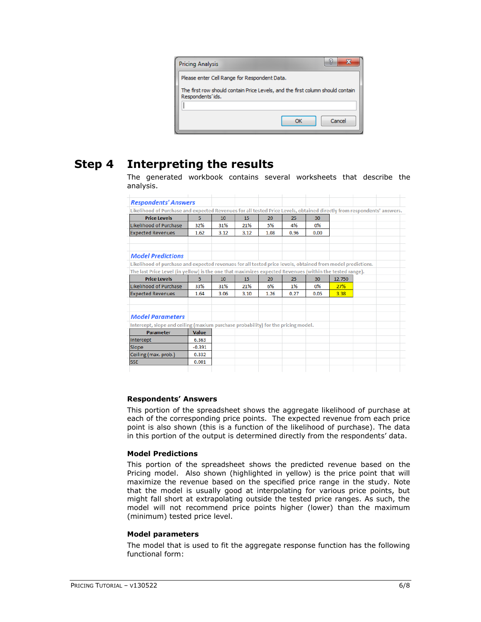| <b>Pricing Analysis</b>                                                                            |    | Ы      |
|----------------------------------------------------------------------------------------------------|----|--------|
| Please enter Cell Range for Respondent Data.                                                       |    |        |
| The first row should contain Price Levels, and the first column should contain<br>Respondents'ids. |    |        |
|                                                                                                    |    |        |
|                                                                                                    | ОК | Cancel |

### **Step 4 Interpreting the results**

The generated workbook contains several worksheets that describe the analysis.

| <b>Respondents' Answers</b>                                                                                            |          |      |      |      |      |       |        |  |
|------------------------------------------------------------------------------------------------------------------------|----------|------|------|------|------|-------|--------|--|
| Likelihood of Purchase and expected Revenues for all tested Price Levels, obtained directly from respondents' answers. |          |      |      |      |      |       |        |  |
| <b>Price Levels</b>                                                                                                    | 5        | 10   | 15   | 20   | 25   | 30    |        |  |
| Likelihood of Purchase                                                                                                 | 32%      | 31%  | 21%  | 5%   | 4%   | $0\%$ |        |  |
| <b>Expected Revenues</b>                                                                                               | 1.62     | 3.12 | 3.12 | 1.08 | 0.96 | 0.00  |        |  |
| <b>Model Predictions</b>                                                                                               |          |      |      |      |      |       |        |  |
| Likelihood of purchase and expected revenues for all tested price levels, obtained from model predictions.             |          |      |      |      |      |       |        |  |
| The last Price Level (in yellow) is the one that maximizes expected Revenues (within the tested range).                |          |      |      |      |      |       |        |  |
| <b>Price Levels</b>                                                                                                    | 5.       | 10   | 15   | 20   | 25   | 30    | 12.750 |  |
| Likelihood of Purchase                                                                                                 | 33%      | 31%  | 21%  | 6%   | 1%   | $0\%$ | 27%    |  |
| <b>Expected Revenues</b>                                                                                               | 1.64     | 3.06 | 3.10 | 1.26 | 0.27 | 0.05  | 3.38   |  |
| <b>Model Parameters</b>                                                                                                |          |      |      |      |      |       |        |  |
| Intercept, slope and ceiling (maxium purchase probability) for the pricing model.                                      |          |      |      |      |      |       |        |  |
| <b>Parameter</b>                                                                                                       | Value    |      |      |      |      |       |        |  |
| Intercept                                                                                                              | 6.363    |      |      |      |      |       |        |  |
| Slope                                                                                                                  | $-0.391$ |      |      |      |      |       |        |  |
| Ceiling (max. prob.)                                                                                                   | 0.332    |      |      |      |      |       |        |  |
|                                                                                                                        |          |      |      |      |      |       |        |  |

### **Respondents' Answers**

This portion of the spreadsheet shows the aggregate likelihood of purchase at each of the corresponding price points. The expected revenue from each price point is also shown (this is a function of the likelihood of purchase). The data in this portion of the output is determined directly from the respondents' data.

### **Model Predictions**

This portion of the spreadsheet shows the predicted revenue based on the Pricing model. Also shown (highlighted in yellow) is the price point that will maximize the revenue based on the specified price range in the study. Note that the model is usually good at interpolating for various price points, but might fall short at extrapolating outside the tested price ranges. As such, the model will not recommend price points higher (lower) than the maximum (minimum) tested price level.

### **Model parameters**

The model that is used to fit the aggregate response function has the following functional form: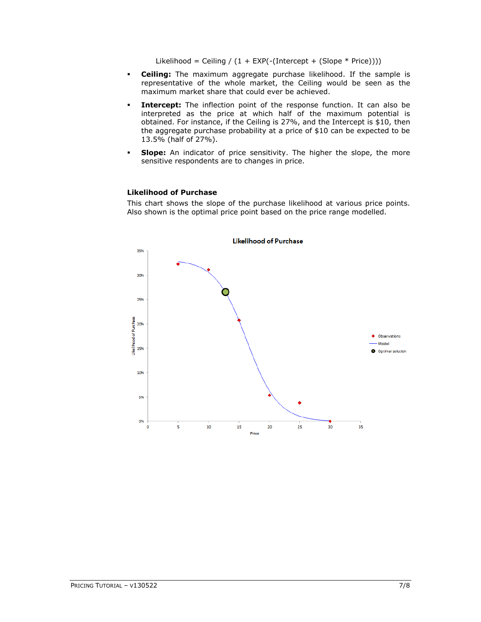Likelihood = Ceiling /  $(1 + EXP(- (Intercept + (Slope * Price))))$ 

- **Ceiling:** The maximum aggregate purchase likelihood. If the sample is representative of the whole market, the Ceiling would be seen as the maximum market share that could ever be achieved.
- **Intercept:** The inflection point of the response function. It can also be interpreted as the price at which half of the maximum potential is obtained. For instance, if the Ceiling is 27%, and the Intercept is \$10, then the aggregate purchase probability at a price of \$10 can be expected to be 13.5% (half of 27%).
- **Slope:** An indicator of price sensitivity. The higher the slope, the more sensitive respondents are to changes in price.

### **Likelihood of Purchase**

This chart shows the slope of the purchase likelihood at various price points. Also shown is the optimal price point based on the price range modelled.